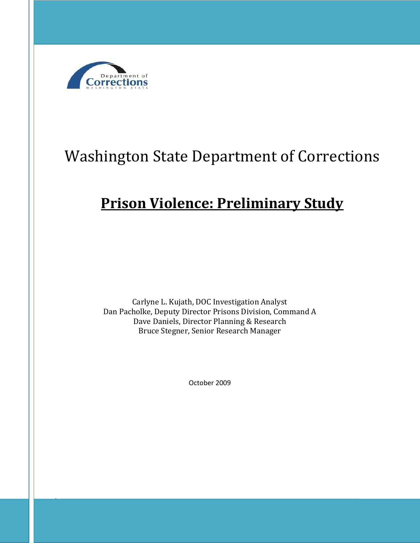

# Washington State Department of Corrections

## **Prison Violence: Preliminary Study**

Carlyne L. Kujath, DOC Investigation Analyst Dan Pacholke, Deputy Director Prisons Division, Command A Dave Daniels, Director Planning & Research Bruce Stegner, Senior Research Manager

October 2009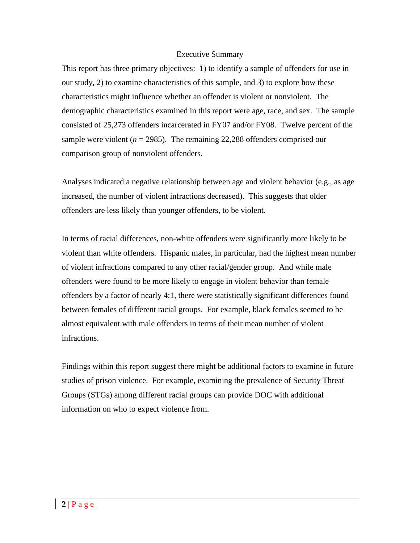#### Executive Summary

This report has three primary objectives: 1) to identify a sample of offenders for use in our study, 2) to examine characteristics of this sample, and 3) to explore how these characteristics might influence whether an offender is violent or nonviolent. The demographic characteristics examined in this report were age, race, and sex. The sample consisted of 25,273 offenders incarcerated in FY07 and/or FY08. Twelve percent of the sample were violent ( $n = 2985$ ). The remaining 22,288 offenders comprised our comparison group of nonviolent offenders.

Analyses indicated a negative relationship between age and violent behavior (e.g., as age increased, the number of violent infractions decreased). This suggests that older offenders are less likely than younger offenders, to be violent.

In terms of racial differences, non-white offenders were significantly more likely to be violent than white offenders. Hispanic males, in particular, had the highest mean number of violent infractions compared to any other racial/gender group. And while male offenders were found to be more likely to engage in violent behavior than female offenders by a factor of nearly 4:1, there were statistically significant differences found between females of different racial groups. For example, black females seemed to be almost equivalent with male offenders in terms of their mean number of violent infractions.

Findings within this report suggest there might be additional factors to examine in future studies of prison violence. For example, examining the prevalence of Security Threat Groups (STGs) among different racial groups can provide DOC with additional information on who to expect violence from.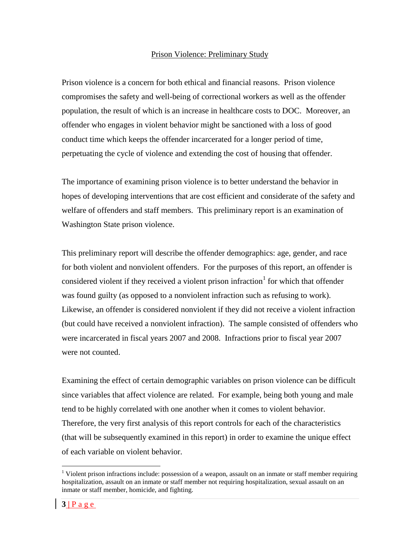#### Prison Violence: Preliminary Study

Prison violence is a concern for both ethical and financial reasons. Prison violence compromises the safety and well-being of correctional workers as well as the offender population, the result of which is an increase in healthcare costs to DOC. Moreover, an offender who engages in violent behavior might be sanctioned with a loss of good conduct time which keeps the offender incarcerated for a longer period of time, perpetuating the cycle of violence and extending the cost of housing that offender.

The importance of examining prison violence is to better understand the behavior in hopes of developing interventions that are cost efficient and considerate of the safety and welfare of offenders and staff members. This preliminary report is an examination of Washington State prison violence.

This preliminary report will describe the offender demographics: age, gender, and race for both violent and nonviolent offenders. For the purposes of this report, an offender is considered violent if they received a violent prison infraction  $1$  for which that offender was found guilty (as opposed to a nonviolent infraction such as refusing to work). Likewise, an offender is considered nonviolent if they did not receive a violent infraction (but could have received a nonviolent infraction). The sample consisted of offenders who were incarcerated in fiscal years 2007 and 2008. Infractions prior to fiscal year 2007 were not counted.

Examining the effect of certain demographic variables on prison violence can be difficult since variables that affect violence are related. For example, being both young and male tend to be highly correlated with one another when it comes to violent behavior. Therefore, the very first analysis of this report controls for each of the characteristics (that will be subsequently examined in this report) in order to examine the unique effect of each variable on violent behavior.

 $\overline{a}$ 

<sup>&</sup>lt;sup>1</sup> Violent prison infractions include: possession of a weapon, assault on an inmate or staff member requiring hospitalization, assault on an inmate or staff member not requiring hospitalization, sexual assault on an inmate or staff member, homicide, and fighting.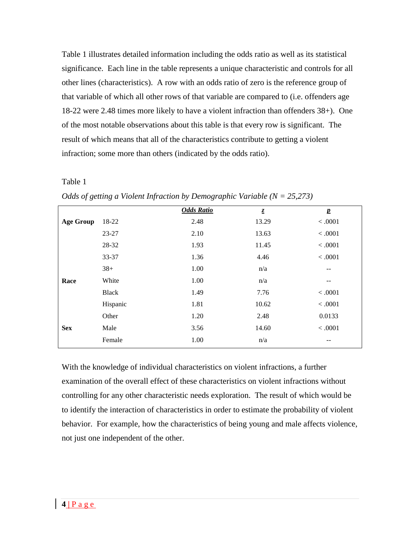Table 1 illustrates detailed information including the odds ratio as well as its statistical significance. Each line in the table represents a unique characteristic and controls for all other lines (characteristics). A row with an odds ratio of zero is the reference group of that variable of which all other rows of that variable are compared to (i.e. offenders age 18-22 were 2.48 times more likely to have a violent infraction than offenders 38+). One of the most notable observations about this table is that every row is significant. The result of which means that all of the characteristics contribute to getting a violent infraction; some more than others (indicated by the odds ratio).

#### Table 1

|                  |              | <b>Odds Ratio</b> | $\underline{\mathcal{Z}}$ | $\boldsymbol{p}$ |
|------------------|--------------|-------------------|---------------------------|------------------|
| <b>Age Group</b> | 18-22        | 2.48              | 13.29                     | < .0001          |
|                  | 23-27        | 2.10              | 13.63                     | < .0001          |
|                  | 28-32        | 1.93              | 11.45                     | < .0001          |
|                  | 33-37        | 1.36              | 4.46                      | < .0001          |
|                  | $38+$        | 1.00              | n/a                       | --               |
| Race             | White        | 1.00              | n/a                       |                  |
|                  | <b>Black</b> | 1.49              | 7.76                      | < .0001          |
|                  | Hispanic     | 1.81              | 10.62                     | < .0001          |
|                  | Other        | 1.20              | 2.48                      | 0.0133           |
| <b>Sex</b>       | Male         | 3.56              | 14.60                     | < .0001          |
|                  | Female       | 1.00              | n/a                       |                  |
|                  |              |                   |                           |                  |

*Odds of getting a Violent Infraction by Demographic Variable (N = 25,273)*

With the knowledge of individual characteristics on violent infractions, a further examination of the overall effect of these characteristics on violent infractions without controlling for any other characteristic needs exploration. The result of which would be to identify the interaction of characteristics in order to estimate the probability of violent behavior. For example, how the characteristics of being young and male affects violence, not just one independent of the other.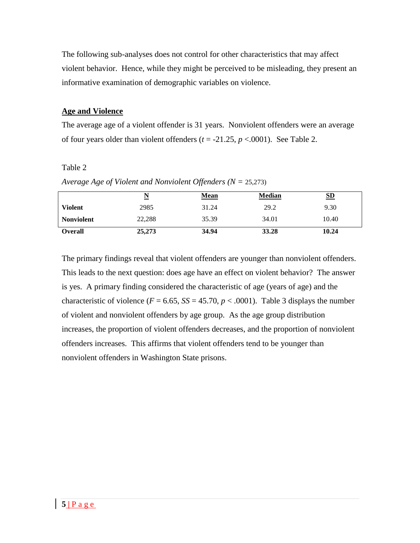The following sub-analyses does not control for other characteristics that may affect violent behavior. Hence, while they might be perceived to be misleading, they present an informative examination of demographic variables on violence.

#### **Age and Violence**

The average age of a violent offender is 31 years. Nonviolent offenders were an average of four years older than violent offenders  $(t = -21.25, p < .0001)$ . See Table 2.

#### Table 2

| Average Age of Violent and Nonviolent Offenders ( $N = 25,273$ ) |
|------------------------------------------------------------------|
|------------------------------------------------------------------|

|                   | $\overline{\mathbf{N}}$ | <b>Mean</b> | <b>Median</b> | S <sub>D</sub> |
|-------------------|-------------------------|-------------|---------------|----------------|
| <b>Violent</b>    | 2985                    | 31.24       | 29.2          | 9.30           |
| <b>Nonviolent</b> | 22,288                  | 35.39       | 34.01         | 10.40          |
| <b>Overall</b>    | 25,273                  | 34.94       | 33.28         | 10.24          |

The primary findings reveal that violent offenders are younger than nonviolent offenders. This leads to the next question: does age have an effect on violent behavior? The answer is yes. A primary finding considered the characteristic of age (years of age) and the characteristic of violence ( $F = 6.65$ ,  $SS = 45.70$ ,  $p < .0001$ ). Table 3 displays the number of violent and nonviolent offenders by age group. As the age group distribution increases, the proportion of violent offenders decreases, and the proportion of nonviolent offenders increases. This affirms that violent offenders tend to be younger than nonviolent offenders in Washington State prisons.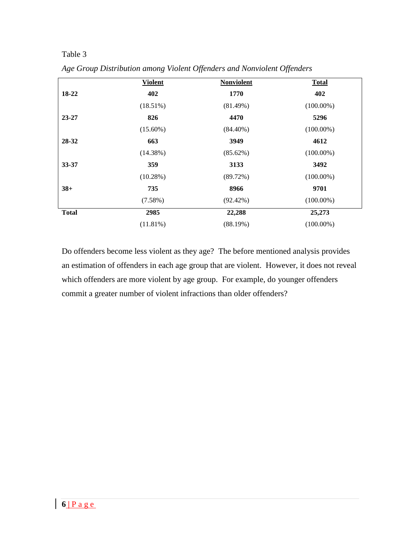## Table 3

|              | <b>Violent</b> | <b>Nonviolent</b> | <b>Total</b> |
|--------------|----------------|-------------------|--------------|
| 18-22        | 402            | 1770              | 402          |
|              | $(18.51\%)$    | (81.49%)          | $(100.00\%)$ |
| $23 - 27$    | 826            | 4470              | 5296         |
|              | $(15.60\%)$    | $(84.40\%)$       | $(100.00\%)$ |
| 28-32        | 663            | 3949              | 4612         |
|              | (14.38%)       | (85.62%)          | $(100.00\%)$ |
| 33-37        | 359            | 3133              | 3492         |
|              | (10.28%)       | (89.72%)          | $(100.00\%)$ |
| $38+$        | 735            | 8966              | 9701         |
|              | $(7.58\%)$     | $(92.42\%)$       | $(100.00\%)$ |
| <b>Total</b> | 2985           | 22,288            | 25,273       |
|              | $(11.81\%)$    | (88.19%)          | $(100.00\%)$ |

*Age Group Distribution among Violent Offenders and Nonviolent Offenders*

Do offenders become less violent as they age? The before mentioned analysis provides an estimation of offenders in each age group that are violent. However, it does not reveal which offenders are more violent by age group. For example, do younger offenders commit a greater number of violent infractions than older offenders?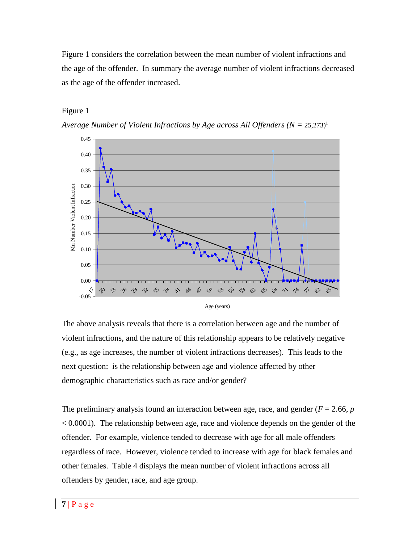Figure 1 considers the correlation between the mean number of violent infractions and the age of the offender. In summary the average number of violent infractions decreased as the age of the offender increased.

#### Figure 1





The above analysis reveals that there is a correlation between age and the number of violent infractions, and the nature of this relationship appears to be relatively negative (e.g., as age increases, the number of violent infractions decreases). This leads to the next question: is the relationship between age and violence affected by other demographic characteristics such as race and/or gender?

The preliminary analysis found an interaction between age, race, and gender ( $F = 2.66$ ,  $p$ ) < 0.0001). The relationship between age, race and violence depends on the gender of the offender. For example, violence tended to decrease with age for all male offenders regardless of race. However, violence tended to increase with age for black females and other females. Table 4 displays the mean number of violent infractions across all offenders by gender, race, and age group.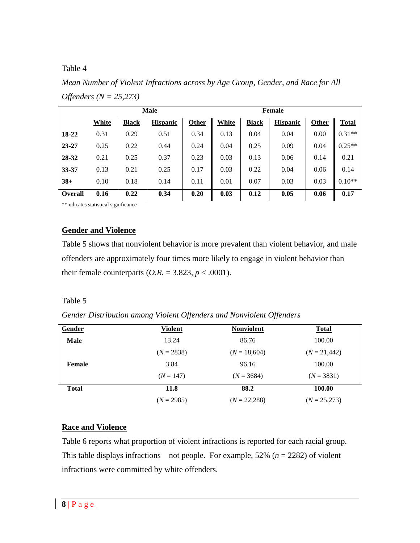#### Table 4

*Mean Number of Violent Infractions across by Age Group, Gender, and Race for All Offenders (N = 25,273)*

|                | <b>Male</b> |              |                 |       | <b>Female</b> |              |                 |       |          |
|----------------|-------------|--------------|-----------------|-------|---------------|--------------|-----------------|-------|----------|
|                | White       | <b>Black</b> | <b>Hispanic</b> | Other | White         | <b>Black</b> | <b>Hispanic</b> | Other | Total    |
| 18-22          | 0.31        | 0.29         | 0.51            | 0.34  | 0.13          | 0.04         | 0.04            | 0.00  | $0.31**$ |
| 23-27          | 0.25        | 0.22         | 0.44            | 0.24  | 0.04          | 0.25         | 0.09            | 0.04  | $0.25**$ |
| 28-32          | 0.21        | 0.25         | 0.37            | 0.23  | 0.03          | 0.13         | 0.06            | 0.14  | 0.21     |
| 33-37          | 0.13        | 0.21         | 0.25            | 0.17  | 0.03          | 0.22         | 0.04            | 0.06  | 0.14     |
| $38+$          | 0.10        | 0.18         | 0.14            | 0.11  | 0.01          | 0.07         | 0.03            | 0.03  | $0.10**$ |
| <b>Overall</b> | 0.16        | 0.22         | 0.34            | 0.20  | 0.03          | 0.12         | 0.05            | 0.06  | 0.17     |
|                |             |              |                 |       |               |              |                 |       |          |

\*\*indicates statistical significance

#### **Gender and Violence**

Table 5 shows that nonviolent behavior is more prevalent than violent behavior, and male offenders are approximately four times more likely to engage in violent behavior than their female counterparts  $(O.R. = 3.823, p < .0001)$ .

#### Table 5

*Gender Distribution among Violent Offenders and Nonviolent Offenders*

| Gender       | <b>Violent</b> | <b>Nonviolent</b> | <b>Total</b>   |
|--------------|----------------|-------------------|----------------|
| <b>Male</b>  | 13.24          | 86.76             | 100.00         |
|              | $(N = 2838)$   | $(N = 18,604)$    | $(N = 21,442)$ |
| Female       | 3.84           | 96.16             | 100.00         |
|              | $(N = 147)$    | $(N = 3684)$      | $(N = 3831)$   |
| <b>Total</b> | 11.8           | 88.2              | 100.00         |
|              | $(N = 2985)$   | $(N = 22,288)$    | $(N = 25,273)$ |

## **Race and Violence**

Table 6 reports what proportion of violent infractions is reported for each racial group. This table displays infractions—not people. For example, 52% (*n* = 2282) of violent infractions were committed by white offenders.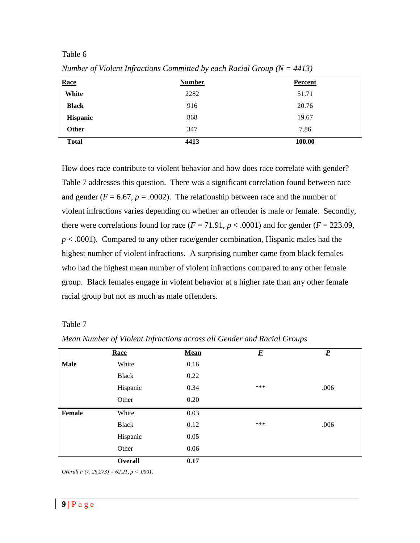#### Table 6

| Race            | <b>Number</b> | <b>Percent</b> |
|-----------------|---------------|----------------|
| White           | 2282          | 51.71          |
| <b>Black</b>    | 916           | 20.76          |
| <b>Hispanic</b> | 868           | 19.67          |
| Other           | 347           | 7.86           |
| <b>Total</b>    | 4413          | 100.00         |

*Number of Violent Infractions Committed by each Racial Group (N = 4413)*

How does race contribute to violent behavior and how does race correlate with gender? Table 7 addresses this question. There was a significant correlation found between race and gender ( $F = 6.67$ ,  $p = .0002$ ). The relationship between race and the number of violent infractions varies depending on whether an offender is male or female. Secondly, there were correlations found for race  $(F = 71.91, p < .0001)$  and for gender  $(F = 223.09,$ *p* < .0001). Compared to any other race/gender combination, Hispanic males had the highest number of violent infractions. A surprising number came from black females who had the highest mean number of violent infractions compared to any other female group. Black females engage in violent behavior at a higher rate than any other female racial group but not as much as male offenders.

#### Table 7

|             | Race           | <b>Mean</b> | $\boldsymbol{F}$ | $\underline{P}$ |
|-------------|----------------|-------------|------------------|-----------------|
| <b>Male</b> | White          | 0.16        |                  |                 |
|             | <b>Black</b>   | 0.22        |                  |                 |
|             | Hispanic       | 0.34        | ***              | .006            |
|             | Other          | 0.20        |                  |                 |
| Female      | White          | 0.03        |                  |                 |
|             | <b>Black</b>   | 0.12        | ***              | .006            |
|             | Hispanic       | 0.05        |                  |                 |
|             | Other          | 0.06        |                  |                 |
|             | <b>Overall</b> | 0.17        |                  |                 |

*Mean Number of Violent Infractions across all Gender and Racial Groups*

*Overall F (7, 25,273) = 62.21, p < .0001.*